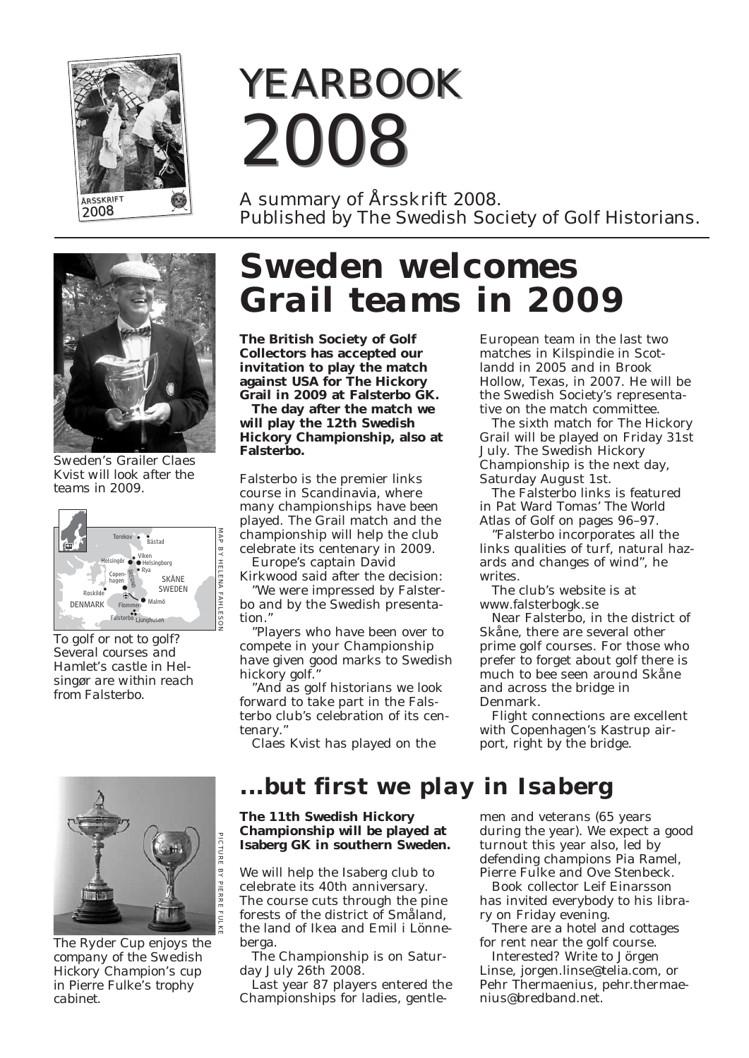

# *YEARBOOK YEARBOOK 2008 2008*

A summary of Årsskrift 2008. Published by The Swedish Society of Golf Historians.



*Sweden's Grailer Claes Kvist will look after the teams in 2009.*



*To golf or not to golf? Several courses and Hamlet's castle in Helsingør are within reach from Falsterbo.*



*The Ryder Cup enjoys the company of the Swedish Hickory Champion's cup in Pierre Fulke's trophy cabinet.*

# *Sweden welcomes Grail teams in 2009*

**The British Society of Golf Collectors has accepted our invitation to play the match against USA for The Hickory Grail in 2009 at Falsterbo GK.** 

**The day after the match we will play the 12th Swedish Hickory Championship, also at Falsterbo.**

Falsterbo is the premier links course in Scandinavia, where many championships have been played. The Grail match and the championship will help the club celebrate its centenary in 2009.

Europe's captain David

Kirkwood said after the decision: "We were impressed by Falsterbo and by the Swedish presentation."

"Players who have been over to compete in your Championship have given good marks to Swedish hickory golf."

"And as golf historians we look forward to take part in the Falsterbo club's celebration of its centenary."

Claes Kvist has played on the

European team in the last two matches in Kilspindie in Scotlandd in 2005 and in Brook Hollow, Texas, in 2007. He will be the Swedish Society's representative on the match committee.

The sixth match for The Hickory Grail will be played on Friday 31st July. The Swedish Hickory Championship is the next day, Saturday August 1st.

The Falsterbo links is featured in Pat Ward Tomas' *The World Atlas of Golf* on pages 96–97.

"Falsterbo incorporates all the links qualities of turf, natural hazards and changes of wind", he writes.

The club's website is at www.falsterbogk.se

Near Falsterbo, in the district of Skåne, there are several other prime golf courses. For those who prefer to forget about golf there is much to bee seen around Skåne and across the bridge in Denmark.

Flight connections are excellent with Copenhagen's Kastrup airport, right by the bridge.

#### *...but first we play in Isaberg*

#### **The 11th Swedish Hickory Championship will be played at Isaberg GK in southern Sweden.**

We will help the Isaberg club to celebrate its 40th anniversary. The course cuts through the pine forests of the district of Småland, the land of Ikea and Emil i Lönneberga.

The Championship is on Saturday July 26th 2008.

Last year 87 players entered the Championships for ladies, gentlemen and veterans (65 years during the year). We expect a good turnout this year also, led by defending champions Pia Ramel, Pierre Fulke and Ove Stenbeck.

Book collector Leif Einarsson has invited everybody to his library on Friday evening.

There are a hotel and cottages for rent near the golf course.

Interested? Write to Jörgen Linse, jorgen.linse@telia.com, or Pehr Thermaenius, pehr.thermaenius@bredband.net.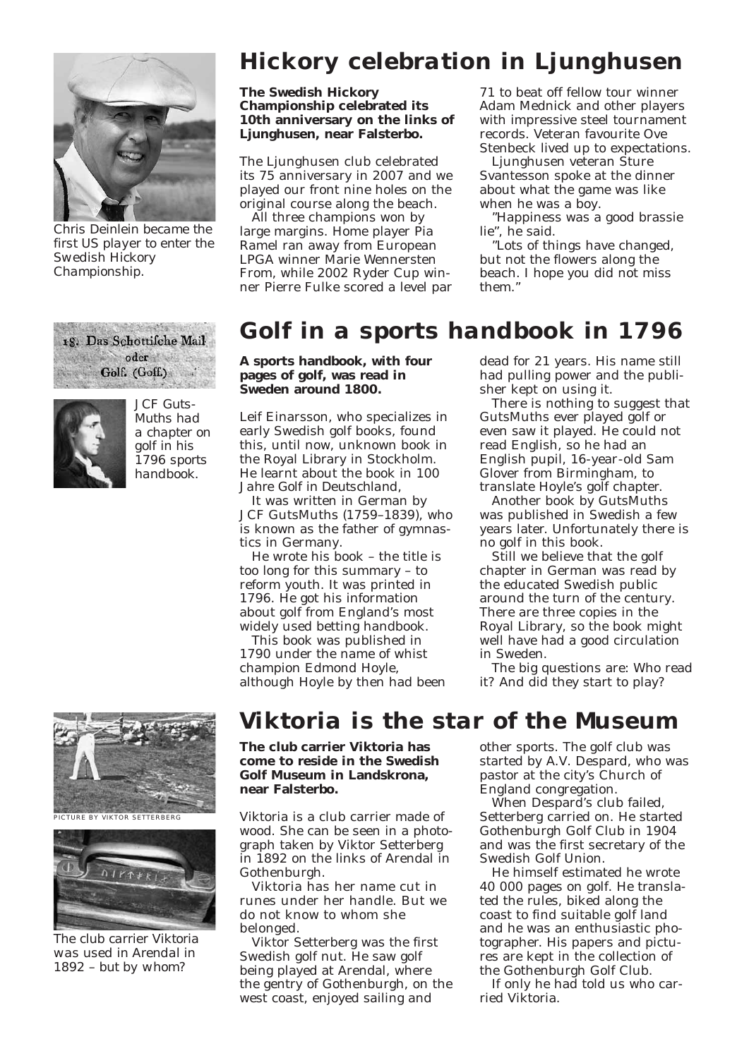

*Chris Deinlein became the first US player to enter the Swedish Hickory Championship.*

18. Das Schottifche Mail 做工资 oder Golf. (Goff.)



*JCF Guts-Muths had a chapter on golf in his 1796 sports handbook.*

PICTURE BY VIKTOR SETTERBERG



*The club carrier Viktoria was used in Arendal in 1892 – but by whom?*

### *Hickory celebration in Ljunghusen*

#### **The Swedish Hickory Championship celebrated its 10th anniversary on the links of Ljunghusen, near Falsterbo.**

The Ljunghusen club celebrated its 75 anniversary in 2007 and we played our front nine holes on the original course along the beach.

All three champions won by large margins. Home player Pia Ramel ran away from European LPGA winner Marie Wennersten From, while 2002 Ryder Cup winner Pierre Fulke scored a level par

71 to beat off fellow tour winner Adam Mednick and other players with impressive steel tournament records. Veteran favourite Ove Stenbeck lived up to expectations.

Ljunghusen veteran Sture Svantesson spoke at the dinner about what the game was like when he was a boy.

"Happiness was a good brassie lie", he said.

"Lots of things have changed, but not the flowers along the beach. I hope you did not miss them."

#### *Golf in a sports handbook in 1796*

**A sports handbook, with four pages of golf, was read in Sweden around 1800.**

Leif Einarsson, who specializes in early Swedish golf books, found this, until now, unknown book in the Royal Library in Stockholm. He learnt about the book in *100 Jahre Golf in Deutschland*,

It was written in German by JCF GutsMuths (1759–1839), who is known as the father of gymnastics in Germany.

He wrote his book – the title is too long for this summary – to reform youth. It was printed in 1796. He got his information about golf from England's most widely used betting handbook.

This book was published in 1790 under the name of whist champion Edmond Hoyle, although Hoyle by then had been

#### dead for 21 years. His name still had pulling power and the publisher kept on using it.

There is nothing to suggest that GutsMuths ever played golf or even saw it played. He could not read English, so he had an English pupil, 16-year-old Sam Glover from Birmingham, to translate Hoyle's golf chapter.

Another book by GutsMuths was published in Swedish a few years later. Unfortunately there is no golf in this book.

Still we believe that the golf chapter in German was read by the educated Swedish public around the turn of the century. There are three copies in the Royal Library, so the book might well have had a good circulation in Sweden.

The big questions are: Who read it? And did they start to play?

#### *Viktoria is the star of the Museum*

**The club carrier Viktoria has come to reside in the Swedish Golf Museum in Landskrona, near Falsterbo.**

Viktoria is a club carrier made of wood. She can be seen in a photograph taken by Viktor Setterberg in 1892 on the links of Arendal in Gothenburgh.

Viktoria has her name cut in runes under her handle. But we do not know to whom she belonged.

Viktor Setterberg was the first Swedish golf nut. He saw golf being played at Arendal, where the gentry of Gothenburgh, on the west coast, enjoyed sailing and

other sports. The golf club was started by A.V. Despard, who was pastor at the city's Church of England congregation.

When Despard's club failed, Setterberg carried on. He started Gothenburgh Golf Club in 1904 and was the first secretary of the Swedish Golf Union.

He himself estimated he wrote 40 000 pages on golf. He translated the rules, biked along the coast to find suitable golf land and he was an enthusiastic photographer. His papers and pictures are kept in the collection of the Gothenburgh Golf Club.

If only he had told us who carried Viktoria.